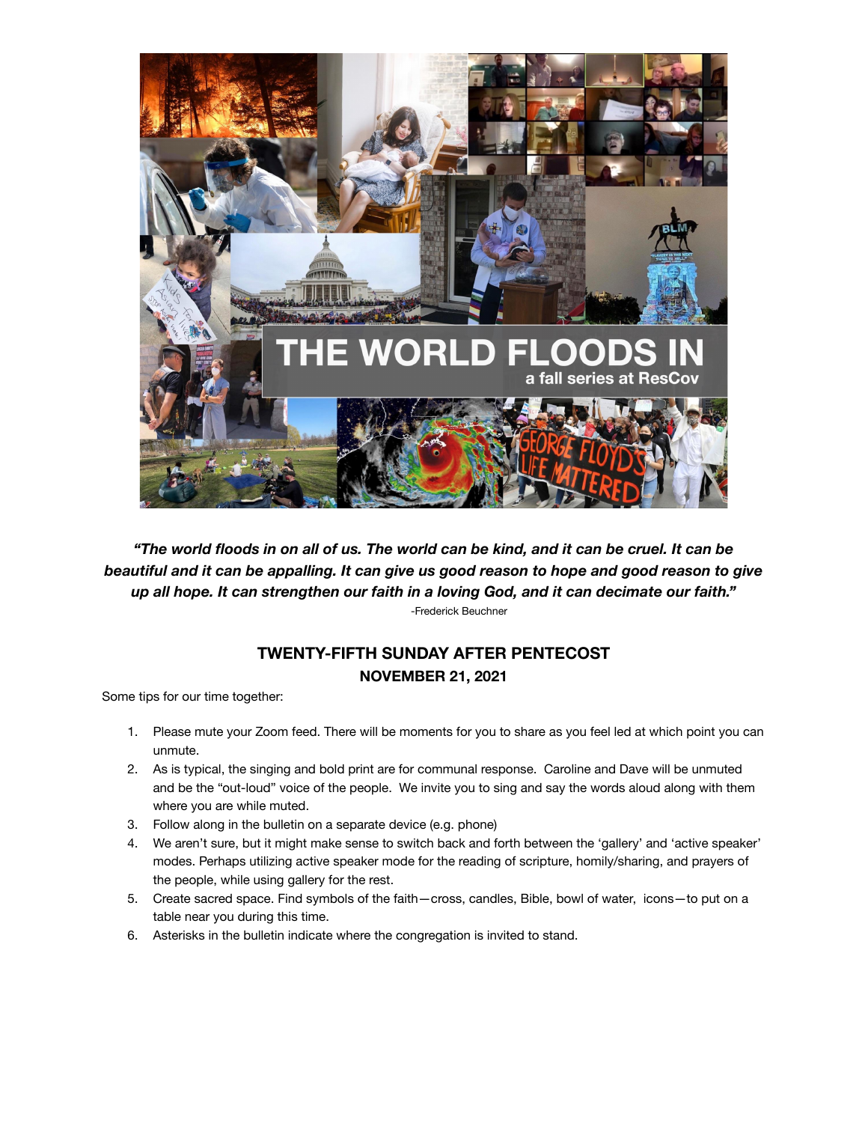

*"The world floods in on all of us. The world can be kind, and it can be cruel. It can be beautiful and it can be appalling. It can give us good reason to hope and good reason to give up all hope. It can strengthen our faith in a loving God, and it can decimate our faith."* -Frederick Beuchner

## **TWENTY-FIFTH SUNDAY AFTER PENTECOST NOVEMBER 21, 2021**

Some tips for our time together:

- 1. Please mute your Zoom feed. There will be moments for you to share as you feel led at which point you can unmute.
- 2. As is typical, the singing and bold print are for communal response. Caroline and Dave will be unmuted and be the "out-loud" voice of the people. We invite you to sing and say the words aloud along with them where you are while muted.
- 3. Follow along in the bulletin on a separate device (e.g. phone)
- 4. We aren't sure, but it might make sense to switch back and forth between the 'gallery' and 'active speaker' modes. Perhaps utilizing active speaker mode for the reading of scripture, homily/sharing, and prayers of the people, while using gallery for the rest.
- 5. Create sacred space. Find symbols of the faith—cross, candles, Bible, bowl of water, icons—to put on a table near you during this time.
- 6. Asterisks in the bulletin indicate where the congregation is invited to stand.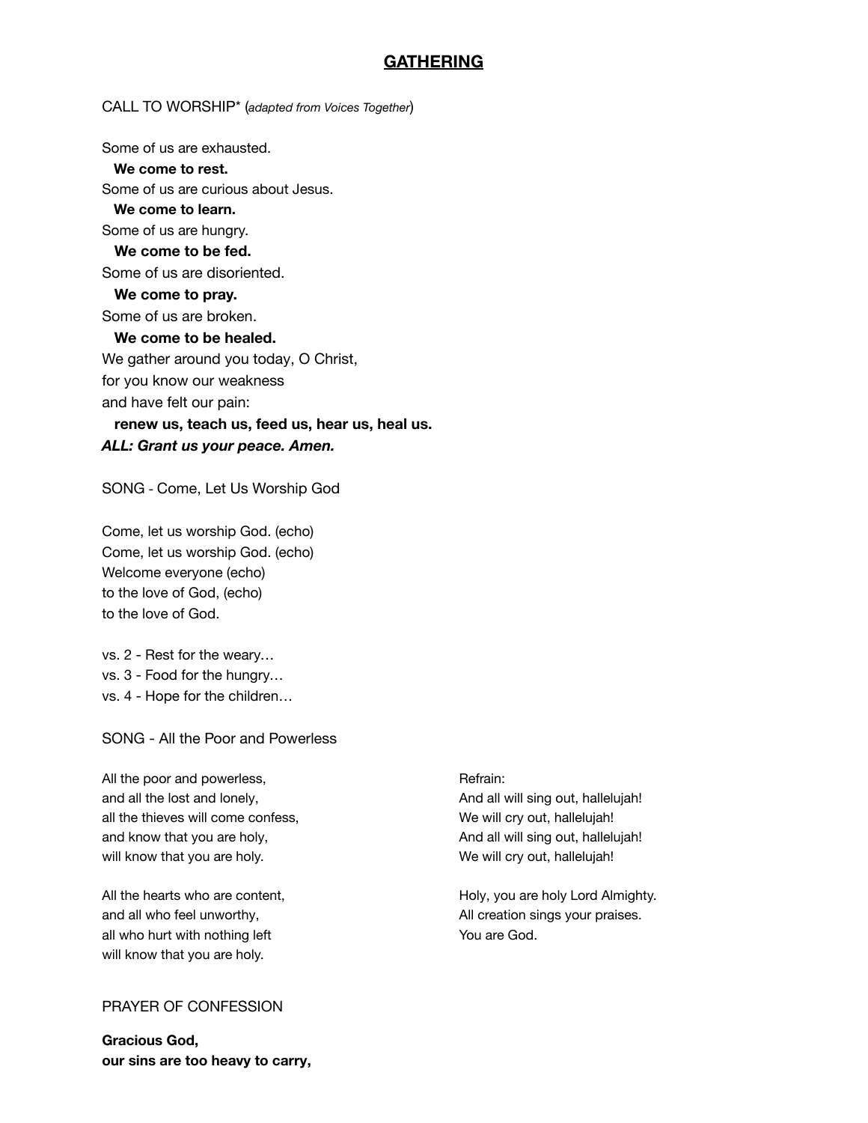## **GATHERING**

#### CALL TO WORSHIP\* (*adapted from Voices Together*)

Some of us are exhausted.

## **We come to rest.**

Some of us are curious about Jesus.

## **We come to learn.**

Some of us are hungry.

# **We come to be fed.**

Some of us are disoriented.

### **We come to pray.** Some of us are broken.

#### **We come to be healed.**

We gather around you today, O Christ, for you know our weakness and have felt our pain:

## **renew us, teach us, feed us, hear us, heal us.** *ALL: Grant us your peace. Amen.*

SONG - Come, Let Us Worship God

Come, let us worship God. (echo) Come, let us worship God. (echo) Welcome everyone (echo) to the love of God, (echo) to the love of God.

vs. 2 - Rest for the weary… vs. 3 - Food for the hungry… vs. 4 - Hope for the children…

SONG - All the Poor and Powerless

All the poor and powerless, and the poor and powerless, and the Refrain: and all the lost and lonely, and all will sing out, hallelujah! all the thieves will come confess, which we will cry out, hallelujah! and know that you are holy, and know that you are holy, and all will sing out, hallelujah! will know that you are holy. We will cry out, hallelujah!

and all who feel unworthy, and all who feel unworthy,  $\Delta$  All creation sings your praises. all who hurt with nothing left You are God. will know that you are holy.

### PRAYER OF CONFESSION

**Gracious God, our sins are too heavy to carry,**

All the hearts who are content,  $Holy$ , you are holy Lord Almighty.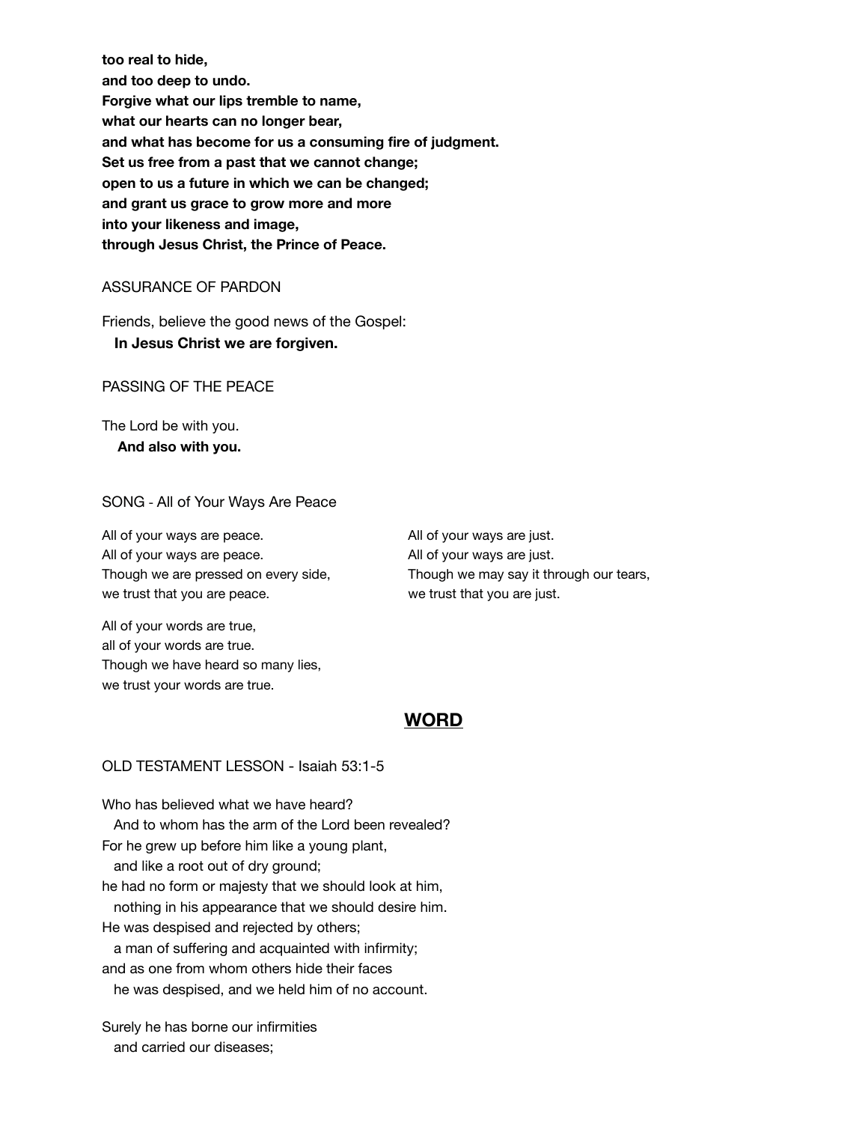**too real to hide, and too deep to undo. Forgive what our lips tremble to name, what our hearts can no longer bear, and what has become for us a consuming fire of judgment. Set us free from a past that we cannot change; open to us a future in which we can be changed; and grant us grace to grow more and more into your likeness and image, through Jesus Christ, the Prince of Peace.**

#### ASSURANCE OF PARDON

Friends, believe the good news of the Gospel:

### **In Jesus Christ we are forgiven.**

PASSING OF THE PEACE

The Lord be with you. **And also with you.**

## SONG - All of Your Ways Are Peace

All of your ways are peace. All of your ways are just. All of your ways are peace. All of your ways are just. we trust that you are peace. We trust that you are just.

Though we are pressed on every side, Though we may say it through our tears,

All of your words are true, all of your words are true. Though we have heard so many lies, we trust your words are true.

## **WORD**

#### OLD TESTAMENT LESSON - Isaiah 53:1-5

Who has believed what we have heard? And to whom has the arm of the Lord been revealed? For he grew up before him like a young plant, and like a root out of dry ground; he had no form or majesty that we should look at him, nothing in his appearance that we should desire him. He was despised and rejected by others; a man of suffering and acquainted with infirmity; and as one from whom others hide their faces

he was despised, and we held him of no account.

Surely he has borne our infirmities and carried our diseases;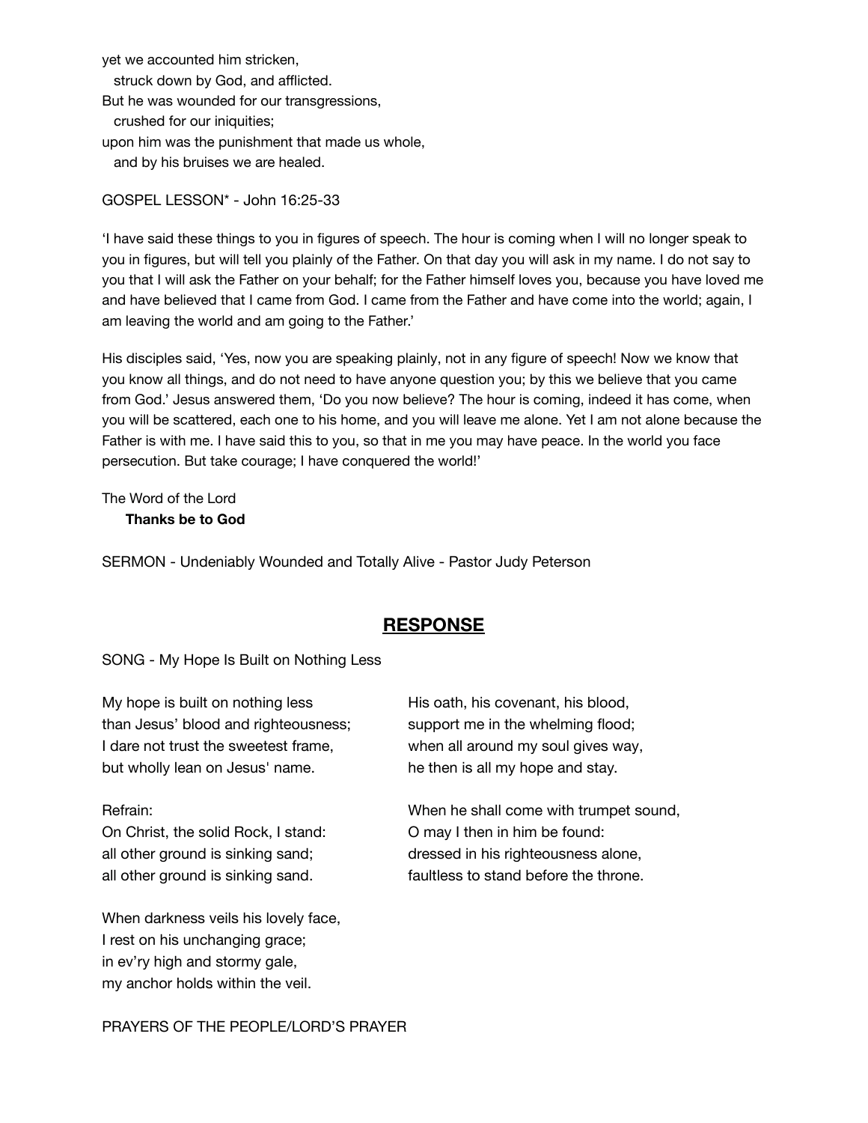yet we accounted him stricken, struck down by God, and afflicted. But he was wounded for our transgressions, crushed for our iniquities; upon him was the punishment that made us whole, and by his bruises we are healed.

GOSPEL LESSON\* - John 16:25-33

'I have said these things to you in figures of speech. The hour is coming when I will no longer speak to you in figures, but will tell you plainly of the Father. On that day you will ask in my name. I do not say to you that I will ask the Father on your behalf; for the Father himself loves you, because you have loved me and have believed that I came from God. I came from the Father and have come into the world; again, I am leaving the world and am going to the Father.'

His disciples said, 'Yes, now you are speaking plainly, not in any figure of speech! Now we know that you know all things, and do not need to have anyone question you; by this we believe that you came from God.' Jesus answered them, 'Do you now believe? The hour is coming, indeed it has come, when you will be scattered, each one to his home, and you will leave me alone. Yet I am not alone because the Father is with me. I have said this to you, so that in me you may have peace. In the world you face persecution. But take courage; I have conquered the world!'

The Word of the Lord **Thanks be to God**

SERMON - Undeniably Wounded and Totally Alive - Pastor Judy Peterson

## **RESPONSE**

SONG - My Hope Is Built on Nothing Less

My hope is built on nothing less His oath, his covenant, his blood, than Jesus' blood and righteousness; support me in the whelming flood; I dare not trust the sweetest frame, when all around my soul gives way, but wholly lean on Jesus' name. he then is all my hope and stay.

On Christ, the solid Rock, I stand: O may I then in him be found:

When darkness veils his lovely face, I rest on his unchanging grace; in ev'ry high and stormy gale, my anchor holds within the veil.

Refrain: When he shall come with trumpet sound, all other ground is sinking sand; dressed in his righteousness alone, all other ground is sinking sand. faultless to stand before the throne.

PRAYERS OF THE PEOPLE/LORD'S PRAYER